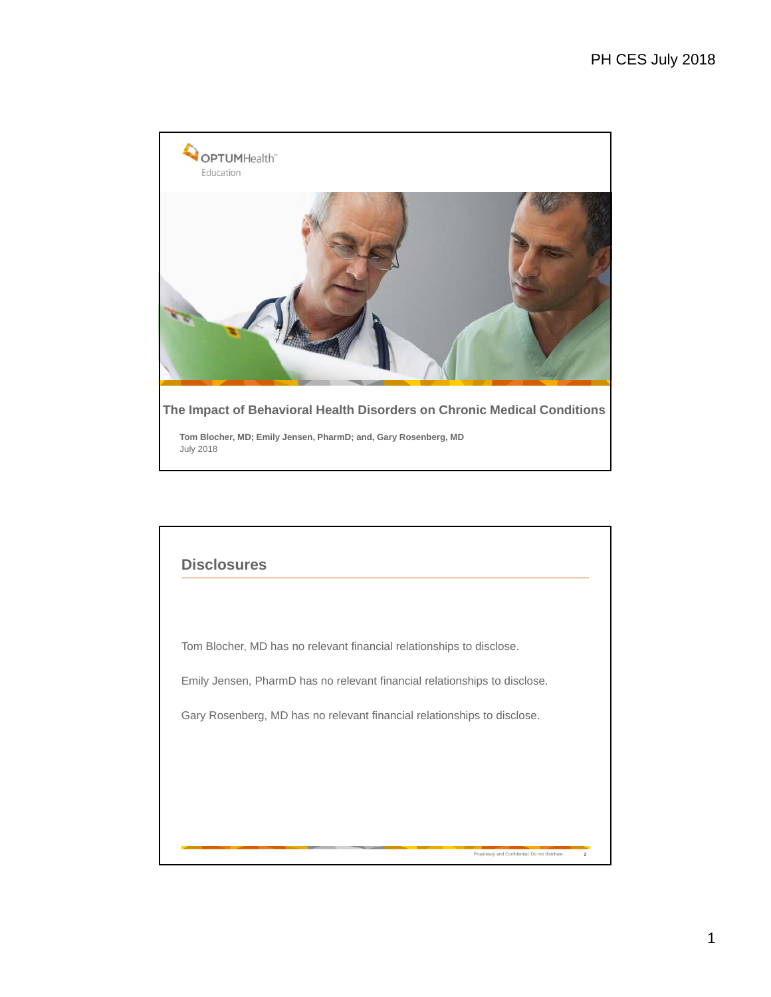

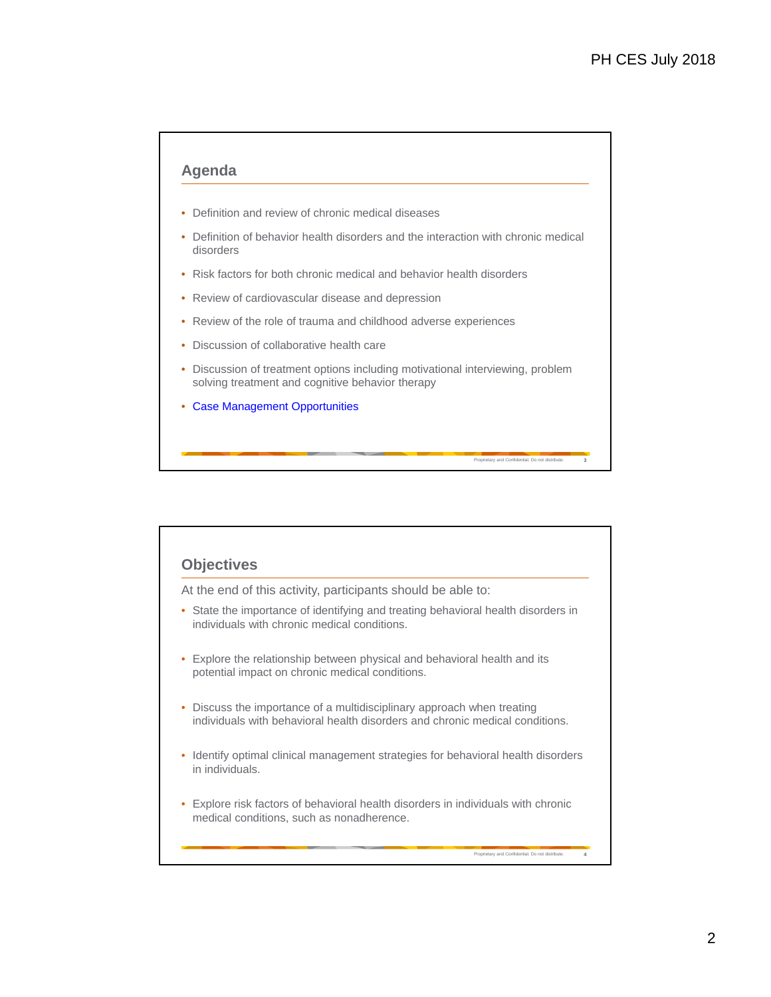### **Agenda**

- Definition and review of chronic medical diseases
- Definition of behavior health disorders and the interaction with chronic medical disorders
- Risk factors for both chronic medical and behavior health disorders
- Review of cardiovascular disease and depression
- Review of the role of trauma and childhood adverse experiences
- Discussion of collaborative health care
- Discussion of treatment options including motivational interviewing, problem solving treatment and cognitive behavior therapy

Proprietary and Confidential. Do not distribute. **3**

Proprietary and Confidential. Do not distribute. **4**

• Case Management Opportunities

## **Objectives**

At the end of this activity, participants should be able to:

- State the importance of identifying and treating behavioral health disorders in individuals with chronic medical conditions.
- Explore the relationship between physical and behavioral health and its potential impact on chronic medical conditions.
- Discuss the importance of a multidisciplinary approach when treating individuals with behavioral health disorders and chronic medical conditions.
- Identify optimal clinical management strategies for behavioral health disorders in individuals.
- Explore risk factors of behavioral health disorders in individuals with chronic medical conditions, such as nonadherence.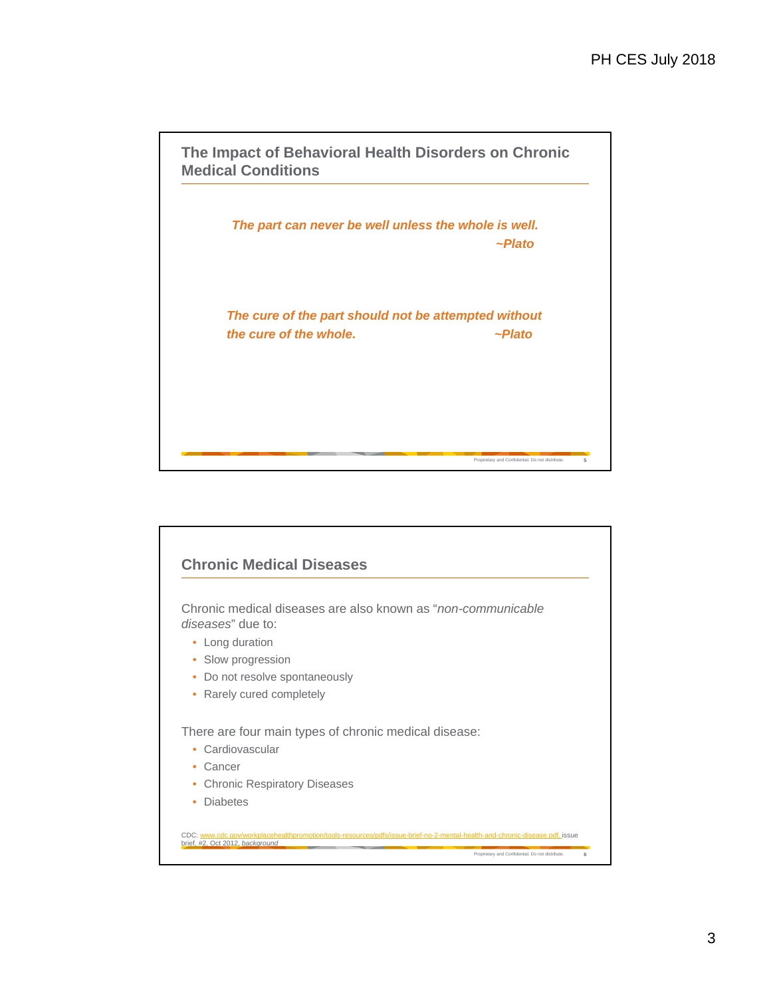Proprietary and Confidential. Do not distribute. **5 The Impact of Behavioral Health Disorders on Chronic Medical Conditions** *The part can never be well unless the whole is well. ~Plato The cure of the part should not be attempted without the cure of the whole. ~Plato*

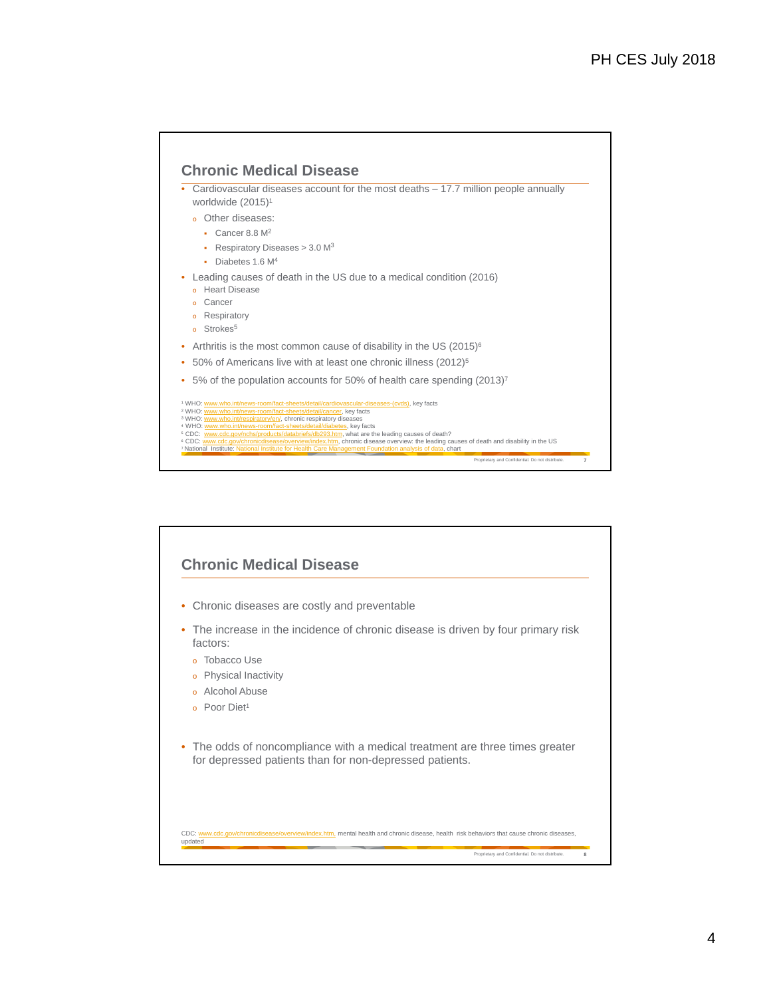

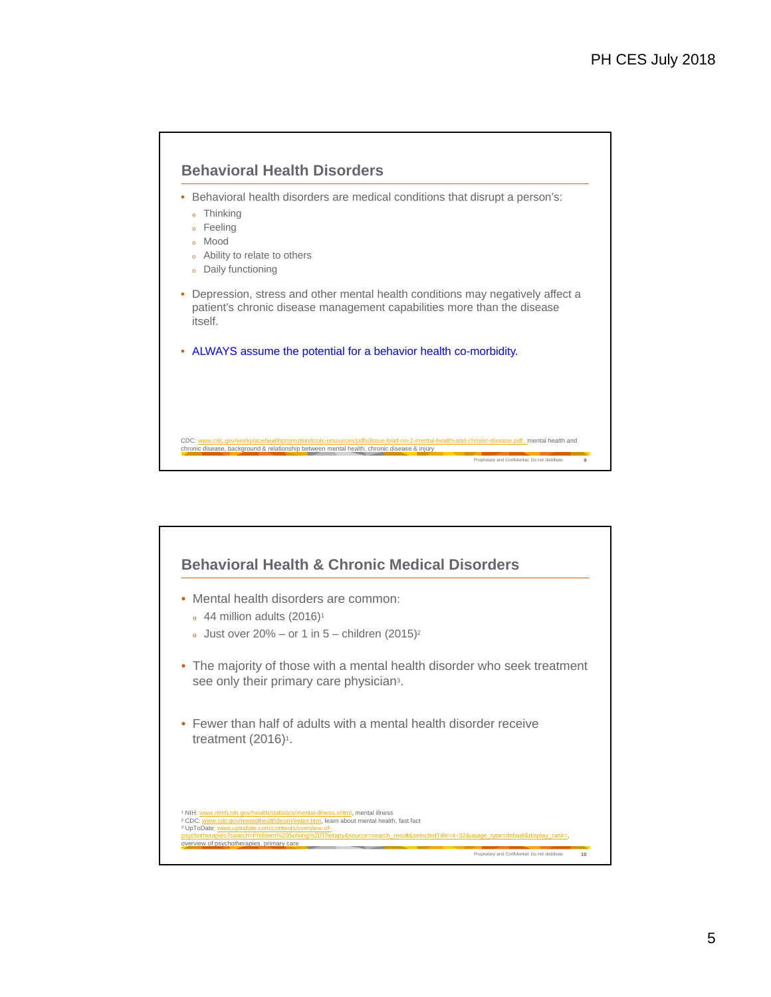

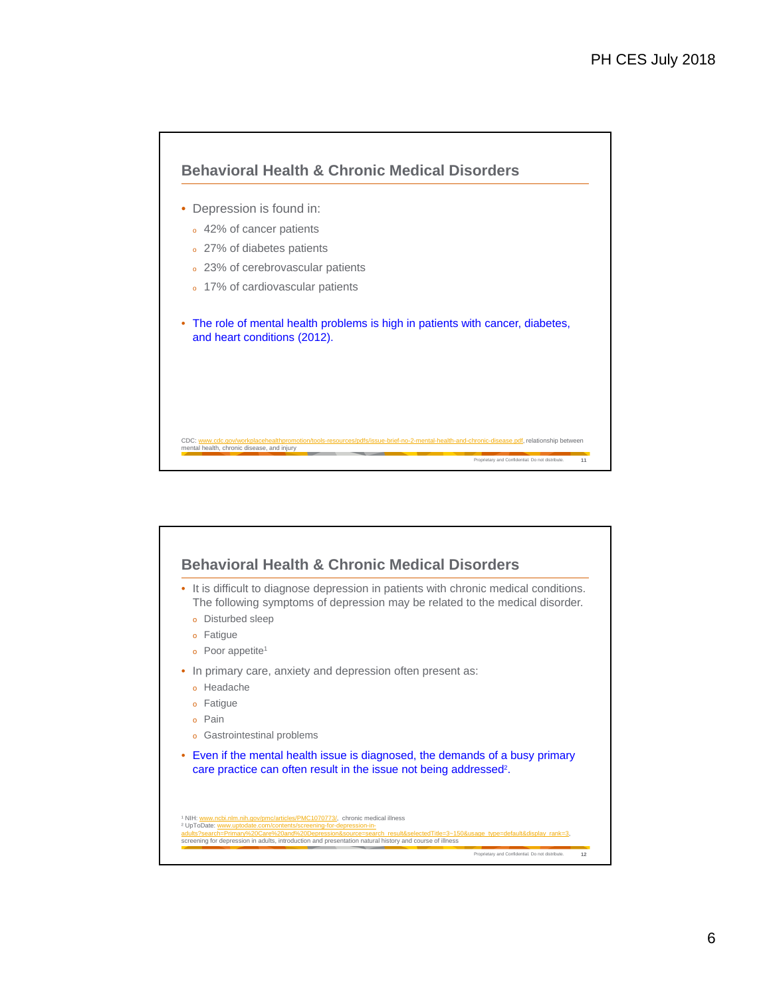

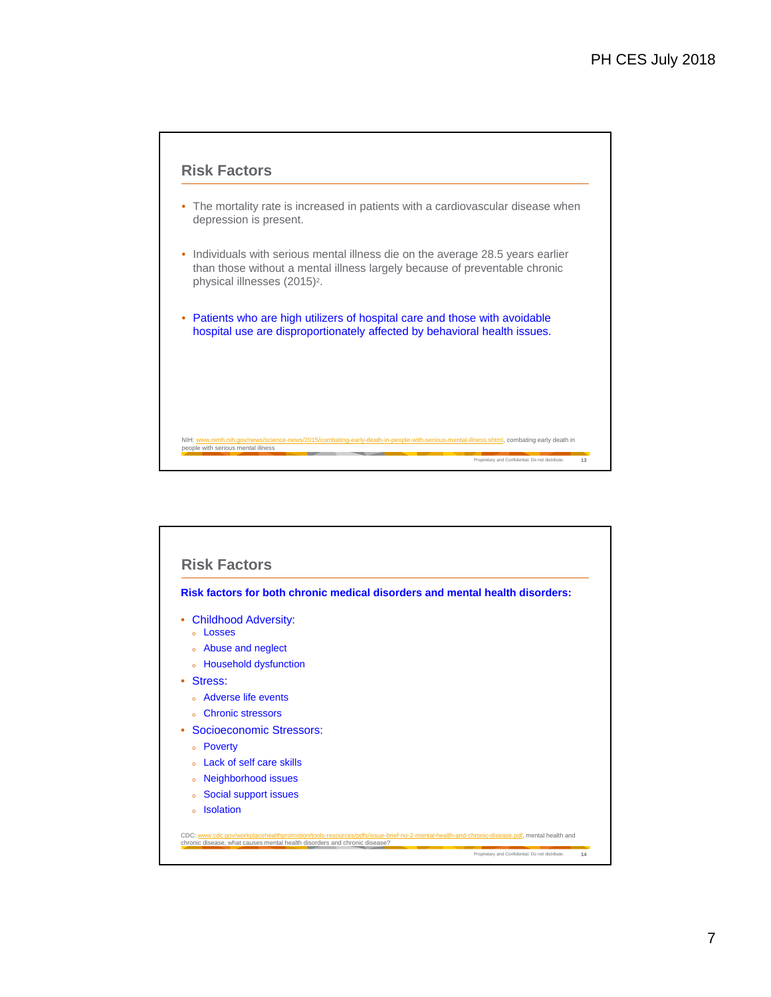

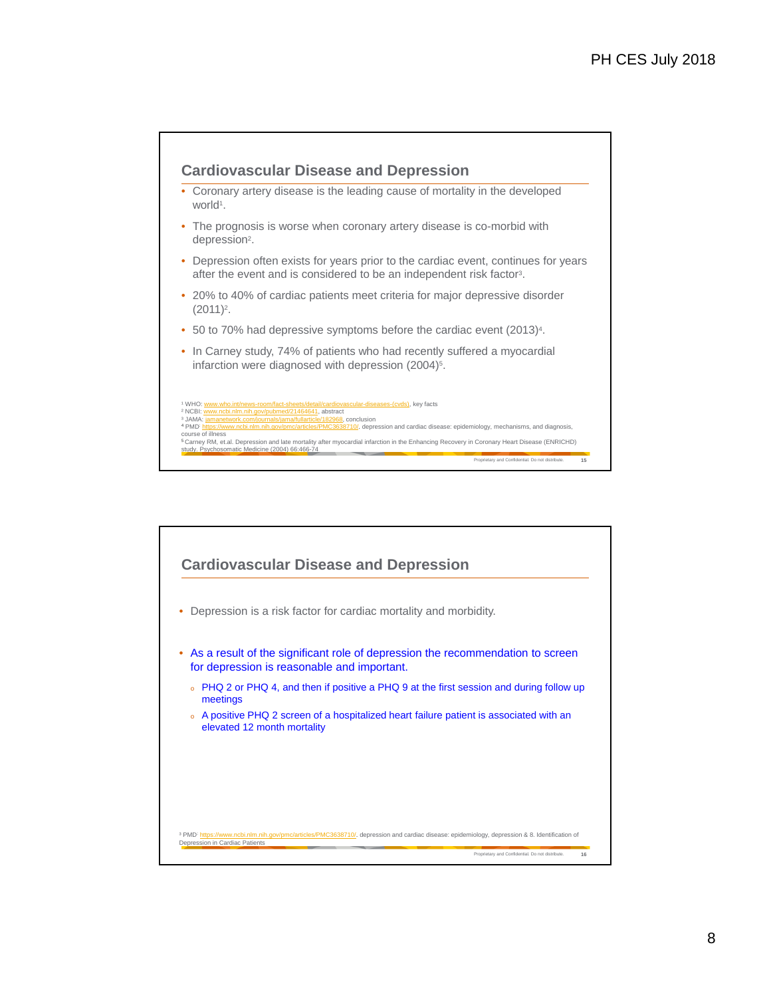

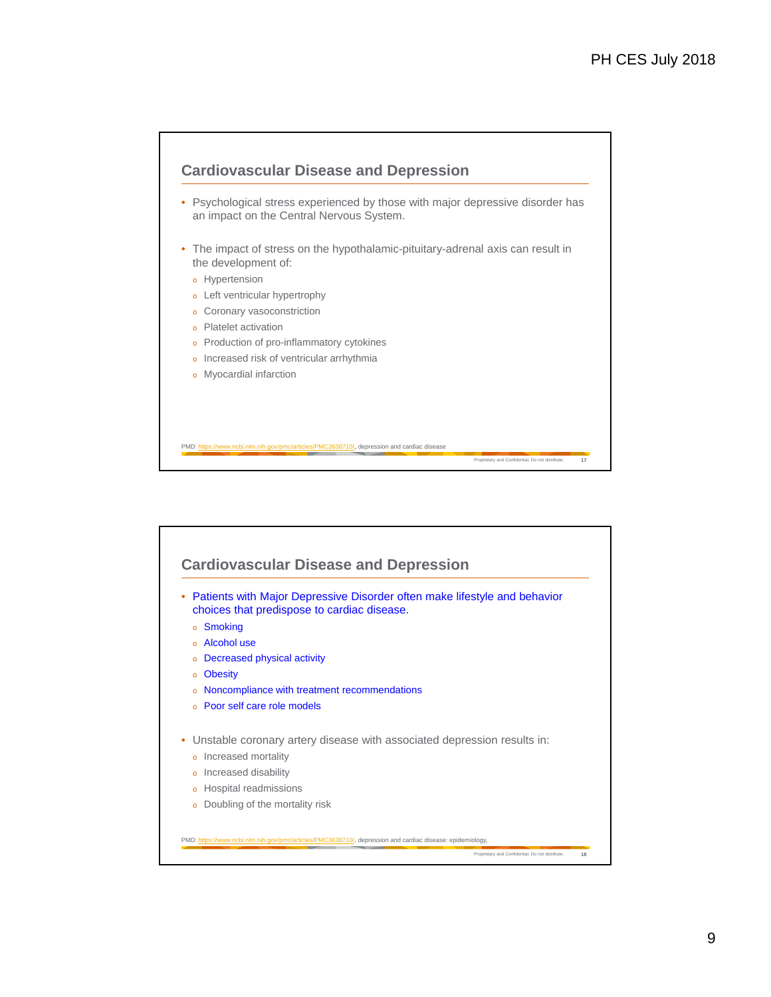

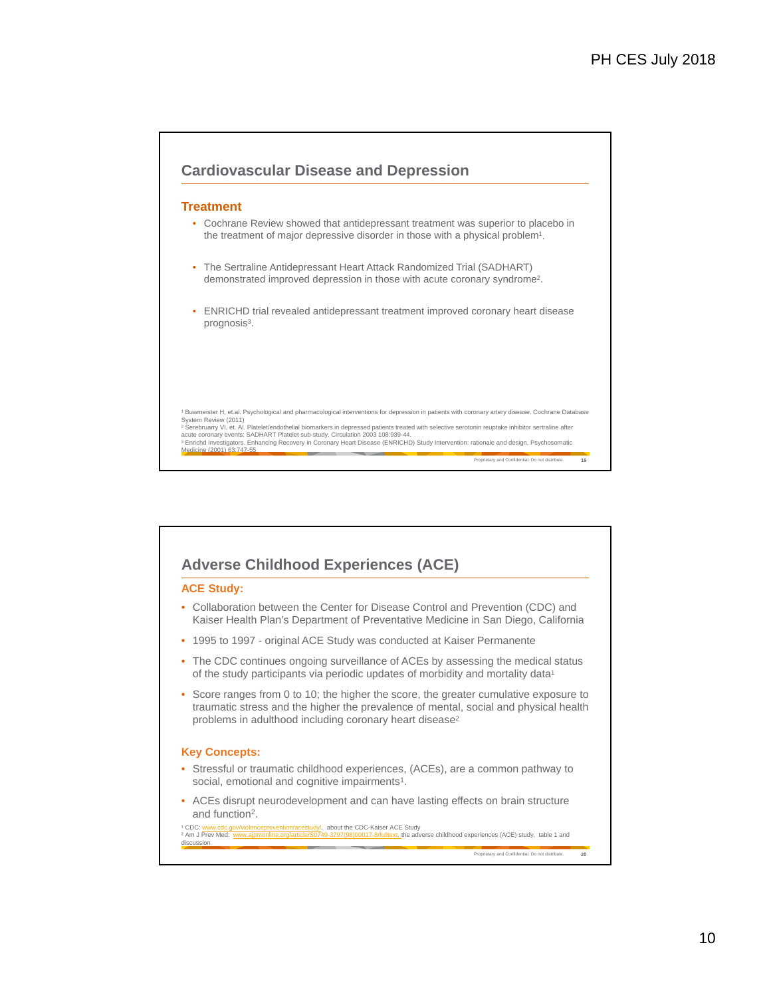

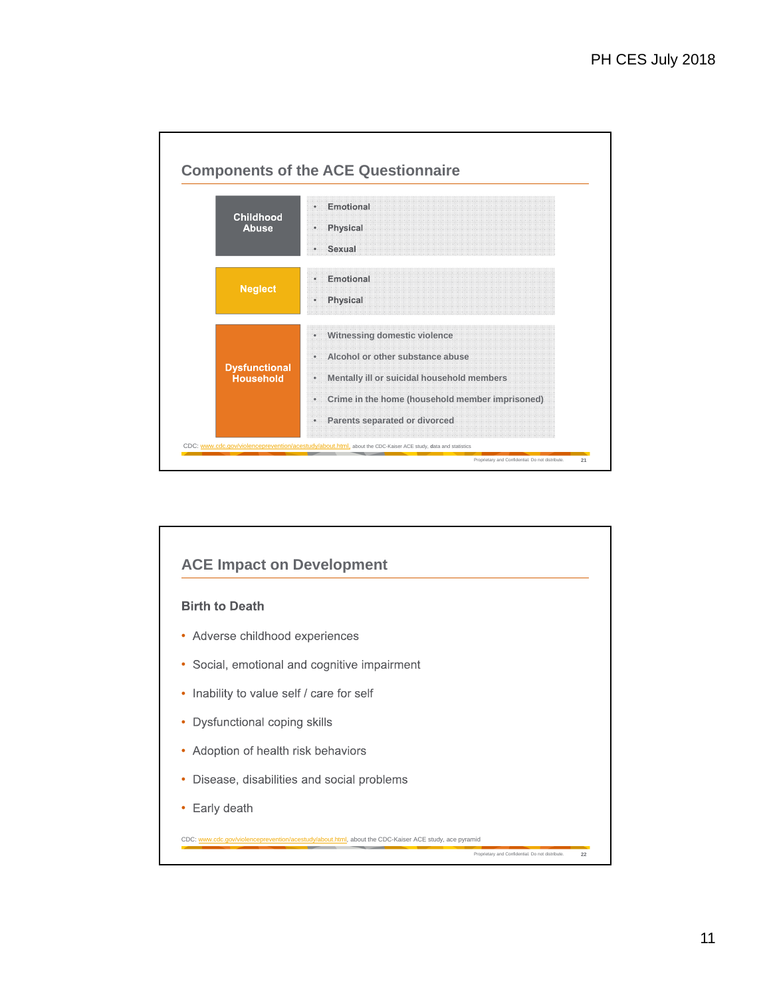

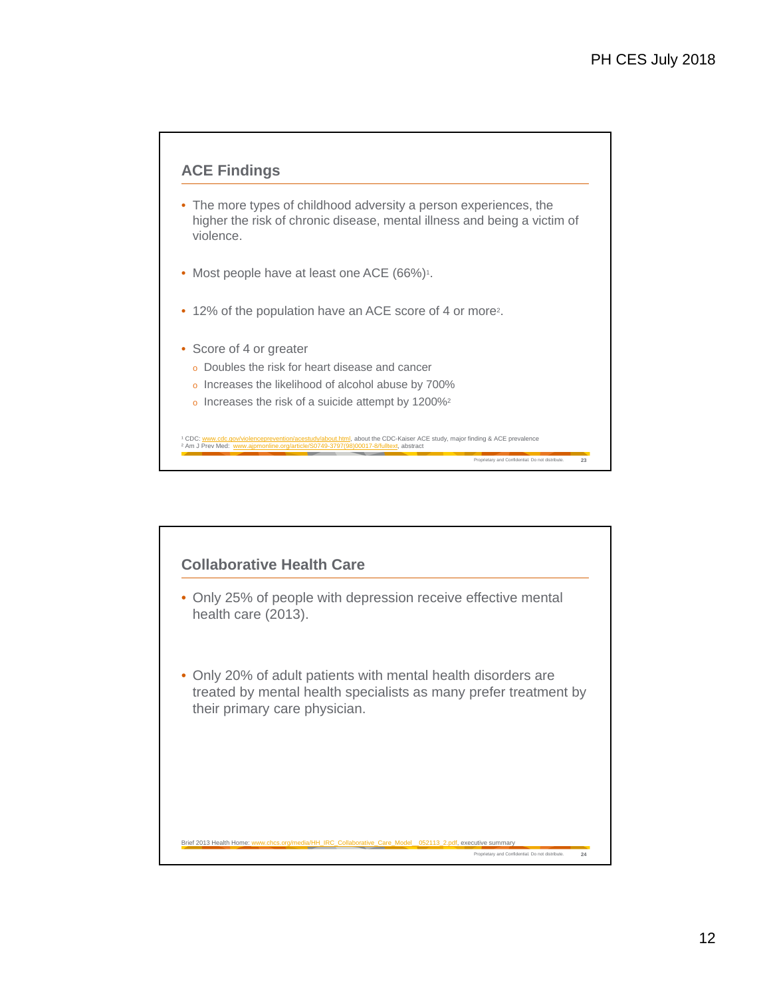

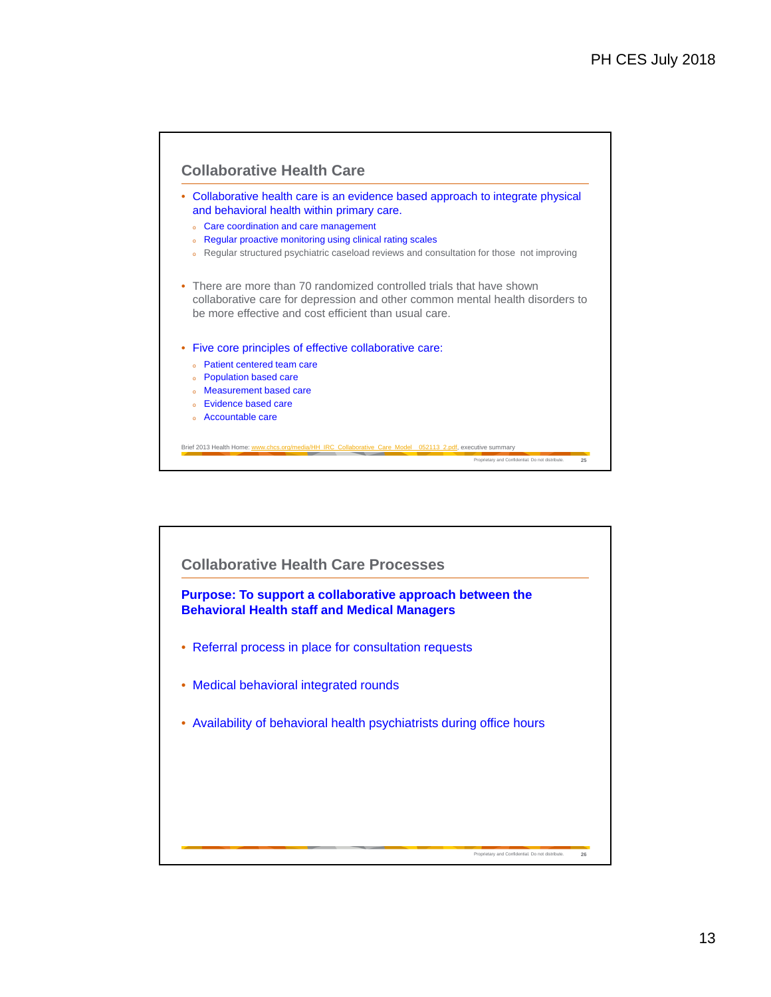

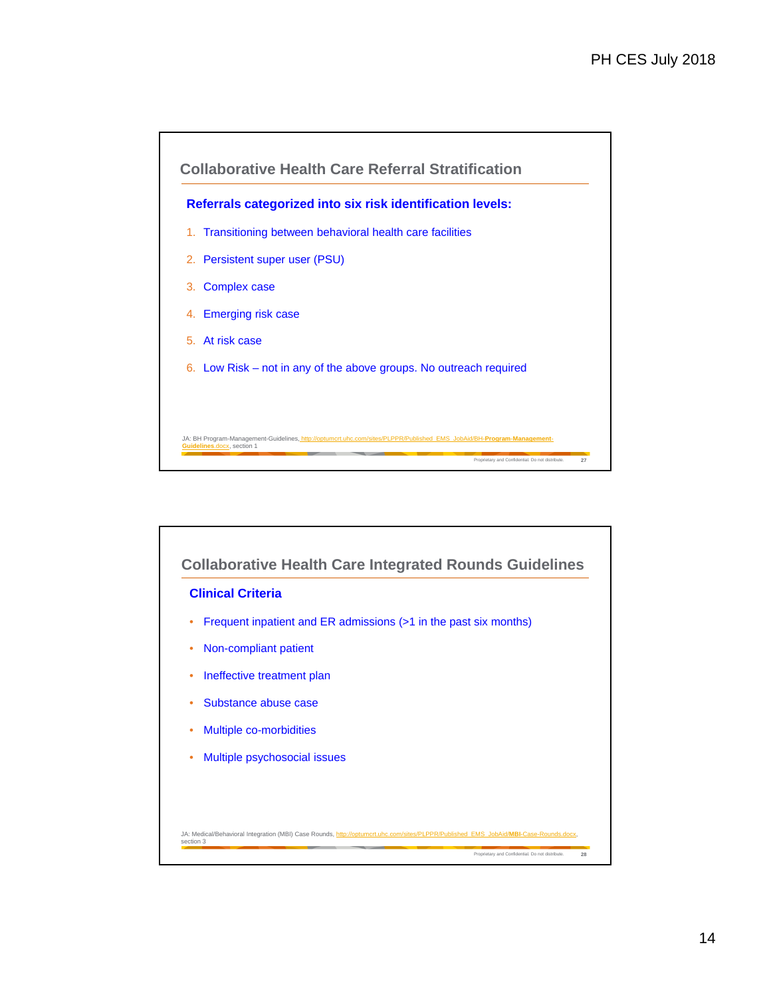



14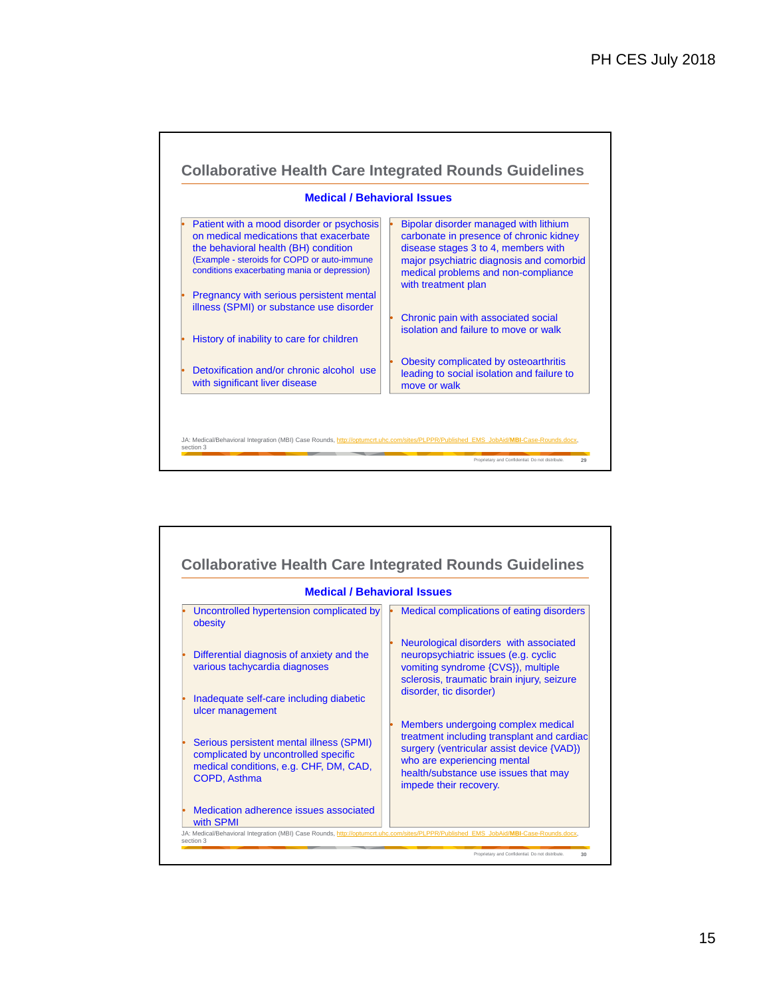

| <b>Medical / Behavioral Issues</b>                                                                                                                                                                                                                                                                                                                                                       |                                                                                                                                                                                                                                                                                                                                                                                                                                                                              |
|------------------------------------------------------------------------------------------------------------------------------------------------------------------------------------------------------------------------------------------------------------------------------------------------------------------------------------------------------------------------------------------|------------------------------------------------------------------------------------------------------------------------------------------------------------------------------------------------------------------------------------------------------------------------------------------------------------------------------------------------------------------------------------------------------------------------------------------------------------------------------|
| Uncontrolled hypertension complicated by<br>obesity<br>Differential diagnosis of anxiety and the<br>various tachycardia diagnoses<br>Inadequate self-care including diabetic<br>ulcer management<br>Serious persistent mental illness (SPMI)<br>complicated by uncontrolled specific<br>medical conditions, e.g. CHF, DM, CAD,<br>COPD, Asthma<br>Medication adherence issues associated | Medical complications of eating disorders<br>Neurological disorders with associated<br>neuropsychiatric issues (e.g. cyclic<br>vomiting syndrome {CVS}), multiple<br>sclerosis, traumatic brain injury, seizure<br>disorder, tic disorder)<br>Members undergoing complex medical<br>treatment including transplant and cardiac<br>surgery (ventricular assist device {VAD})<br>who are experiencing mental<br>health/substance use issues that may<br>impede their recovery. |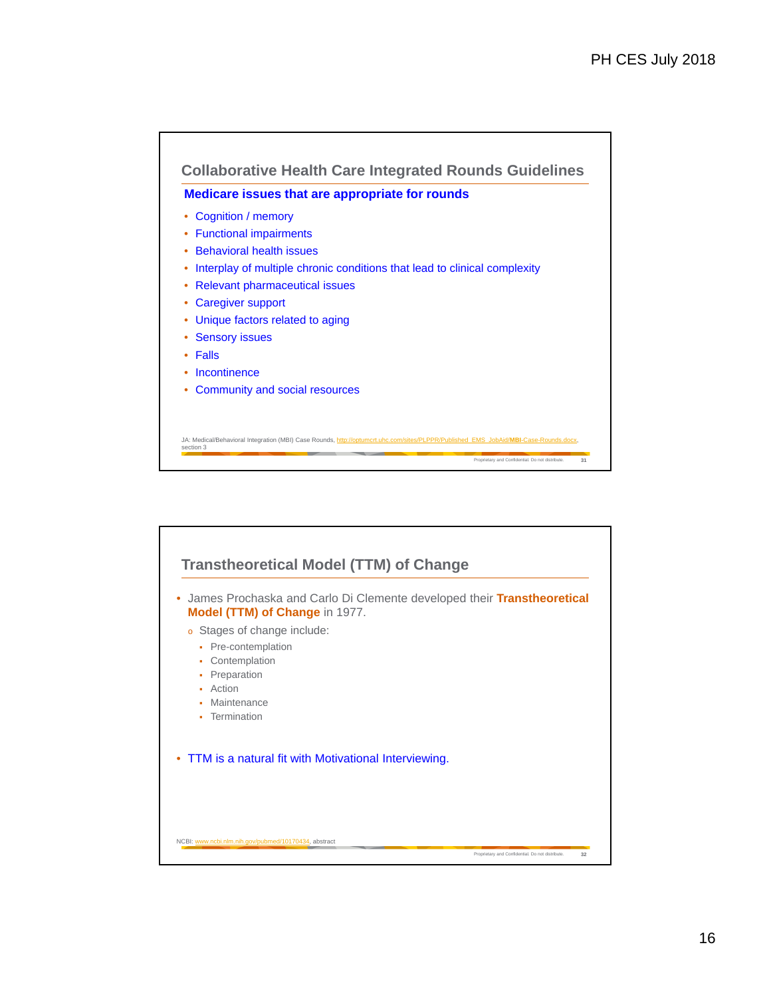

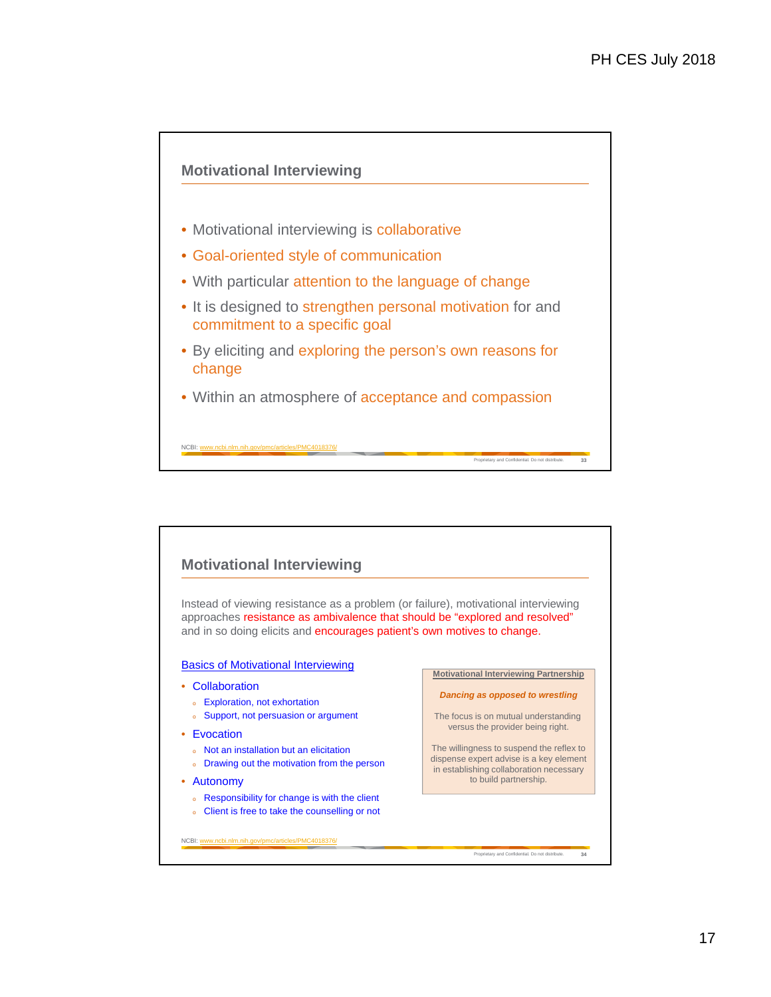

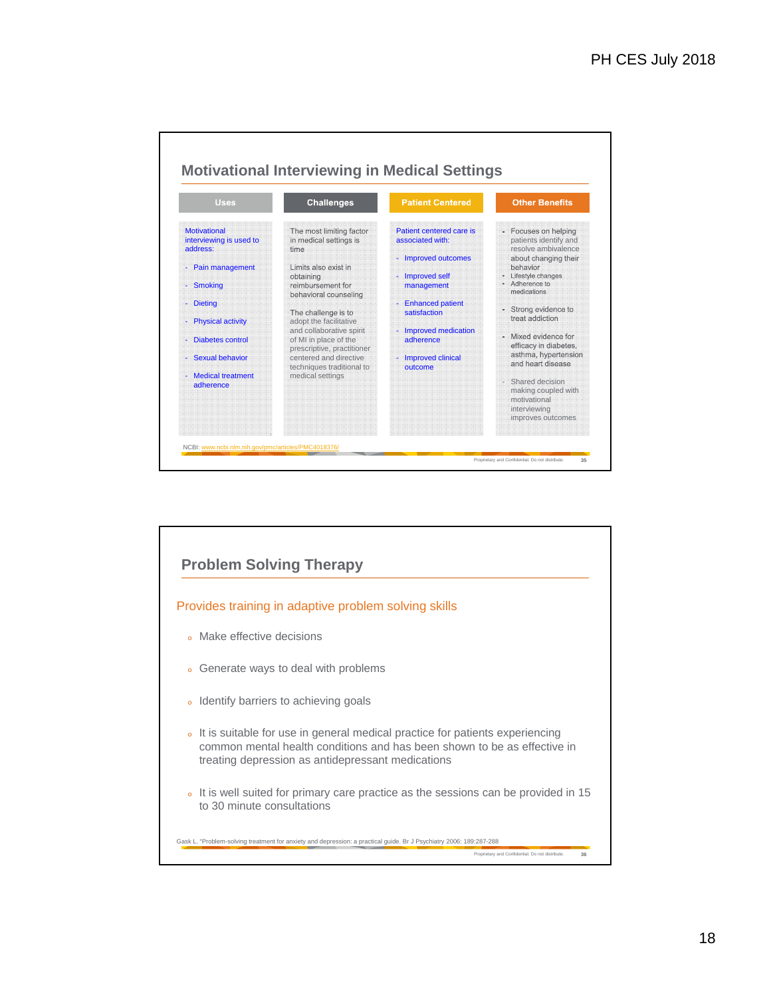

![](_page_17_Figure_2.jpeg)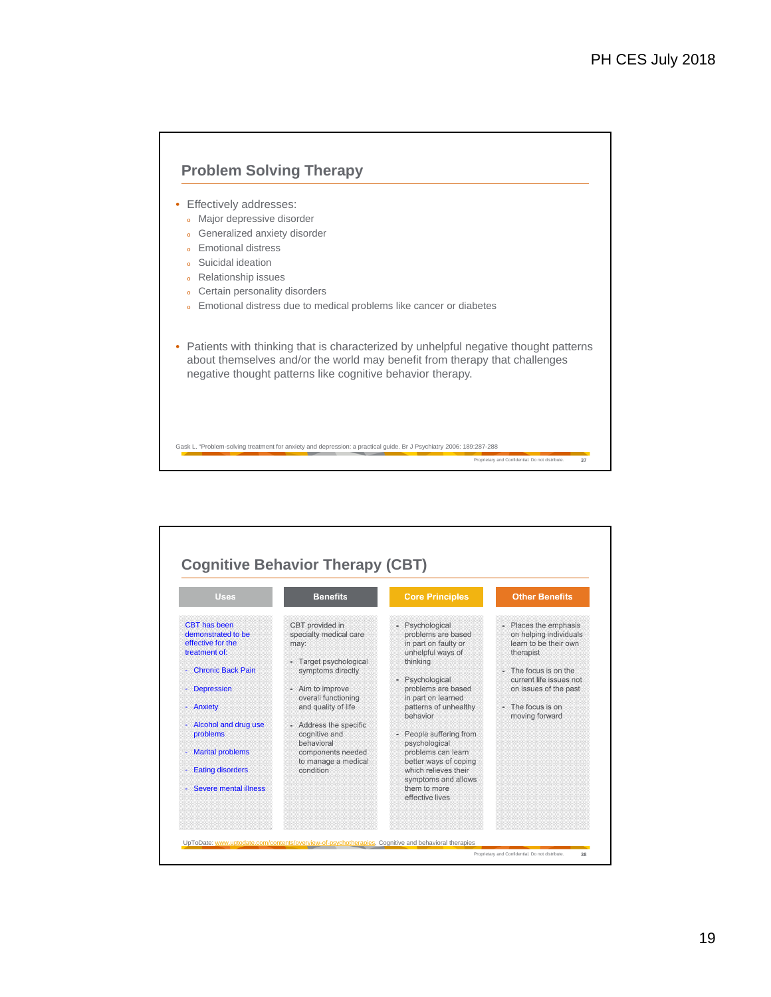![](_page_18_Figure_1.jpeg)

![](_page_18_Figure_2.jpeg)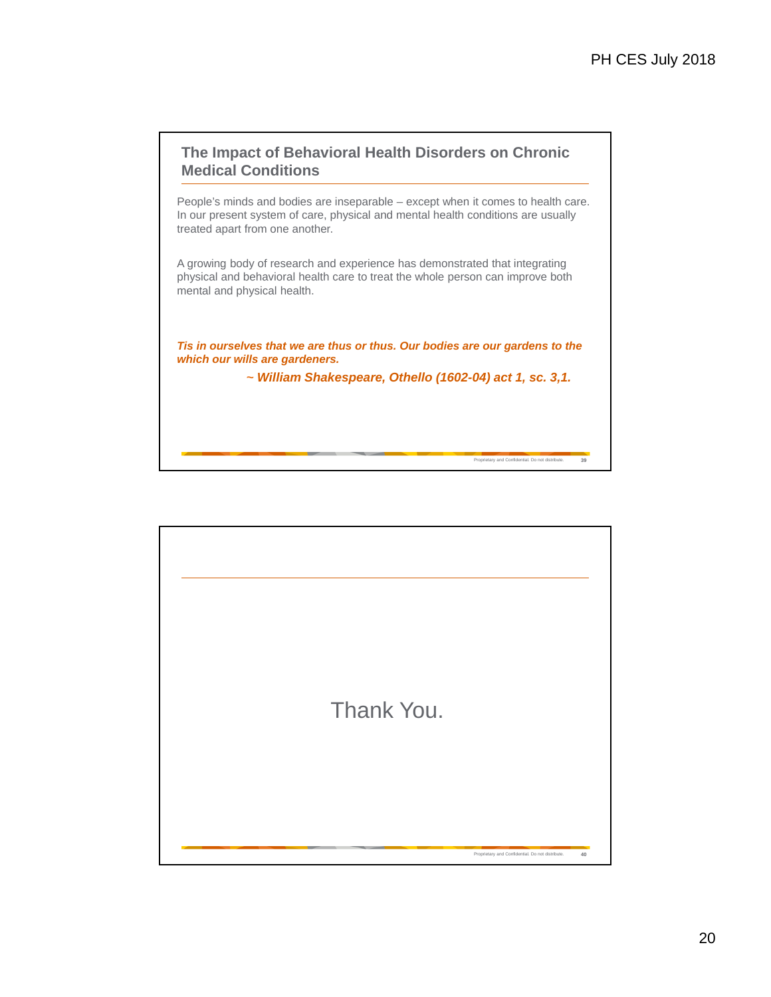# **The Impact of Behavioral Health Disorders on Chronic Medical Conditions**

People's minds and bodies are inseparable – except when it comes to health care. In our present system of care, physical and mental health conditions are usually treated apart from one another.

A growing body of research and experience has demonstrated that integrating physical and behavioral health care to treat the whole person can improve both mental and physical health.

*Tis in ourselves that we are thus or thus. Our bodies are our gardens to the which our wills are gardeners.*

*~ William Shakespeare, Othello (1602-04) act 1, sc. 3,1.*

Proprietary and Confidential. Do not distribute. **39**

Proprietary and Confidential. Do not distribute. **40**

Thank You.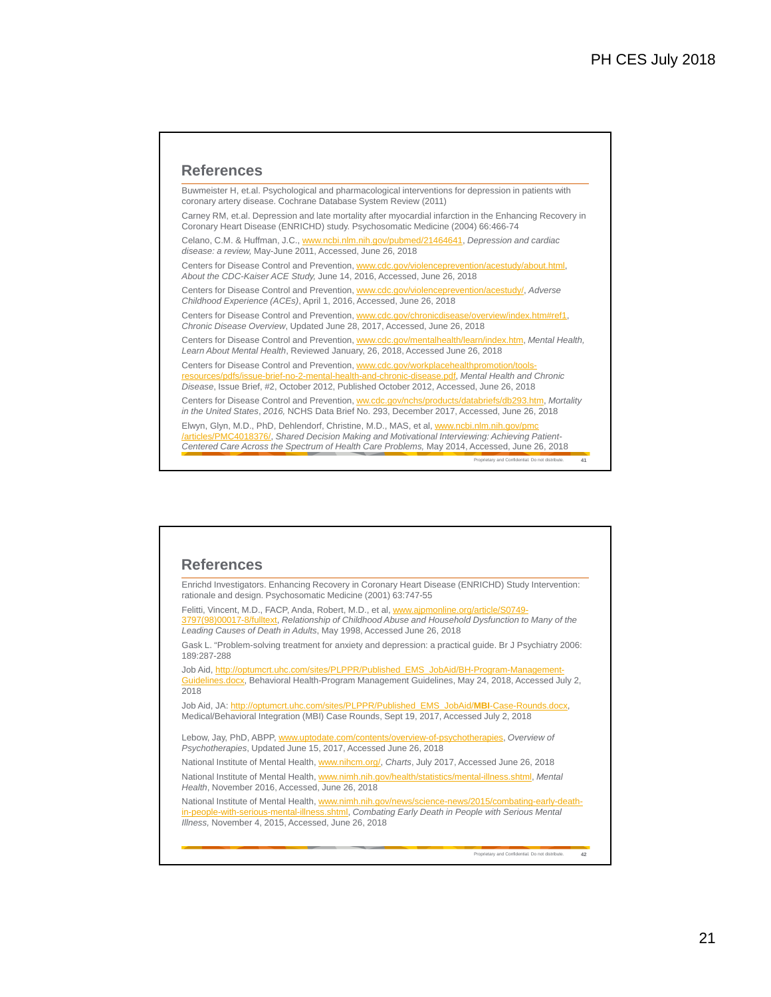#### **References**

Buwmeister H, et.al. Psychological and pharmacological interventions for depression in patients with coronary artery disease. Cochrane Database System Review (2011)

Carney RM, et.al. Depression and late mortality after myocardial infarction in the Enhancing Recovery in Coronary Heart Disease (ENRICHD) study. Psychosomatic Medicine (2004) 66:466-74

Celano, C.M. & Huffman, J.C., www.ncbi.nlm.nih.gov/pubmed/21464641, *Depression and cardiac disease: a review,* May-June 2011, Accessed, June 26, 2018

Centers for Disease Control and Prevention, www.cdc.gov/violenceprevention/acestudy/about.html, *About the CDC-Kaiser ACE Study,* June 14, 2016, Accessed, June 26, 2018

Centers for Disease Control and Prevention, www.cdc.gov/violenceprevention/acestudy/, *Adverse Childhood Experience (ACEs)*, April 1, 2016, Accessed, June 26, 2018

Centers for Disease Control and Prevention, www.cdc.gov/chronicdisease/overview/index.htm#ref1, *Chronic Disease Overview*, Updated June 28, 2017, Accessed, June 26, 2018

Centers for Disease Control and Prevention, www.cdc.gov/mentalhealth/learn/index.htm, *Mental Health, Learn About Mental Health*, Reviewed January, 26, 2018, Accessed June 26, 2018

Centers for Disease Control and Prevention, www.cdc.gov/workplacehealthpromotion/toolsresources/pdfs/issue-brief-no-2-mental-health-and-chronic-disease.pdf, *Mental Health and Chronic Disease*, Issue Brief, #2, October 2012, Published October 2012, Accessed, June 26, 2018 Centers for Disease Control and Prevention, ww.cdc.gov/nchs/products/databriefs/db293.htm, *Mortality in the United States*, *2016,* NCHS Data Brief No. 293, December 2017, Accessed, June 26, 2018

Elwyn, Glyn, M.D., PhD, Dehlendorf, Christine, M.D., MAS, et al, www.ncbi.nlm.nih.gov/p /articles/PMC4018376/, *Shared Decision Making and Motivational Interviewing: Achieving Patient-Centered Care Across the Spectrum of Health Care Problems,* May 2014, Accessed, June 26, 2018

Proprietary and Confidential. Do not distribute. **41**

#### **References**

Enrichd Investigators. Enhancing Recovery in Coronary Heart Disease (ENRICHD) Study Intervention: rationale and design. Psychosomatic Medicine (2001) 63:747-55

Felitti, Vincent, M.D., FACP, Anda, Robert, M.D., et al, www.ajpmonline.org/article/S0749- 3797(98)00017-8/fulltext, *Relationship of Childhood Abuse and Household Dysfunction to Many of the Leading Causes of Death in Adults*, May 1998, Accessed June 26, 2018

Gask L. "Problem-solving treatment for anxiety and depression: a practical guide. Br J Psychiatry 2006: 189:287-288

Job Aid, http://optumcrt.uhc.com/sites/PLPPR/Published\_EMS\_JobAid/BH-Program-Management Guidelines.docx, Behavioral Health-Program Management Guidelines, May 24, 2018, Accessed July 2, 2018

Job Aid, JA: http://optumcrt.uhc.com/sites/PLPPR/Published\_EMS\_JobAid/**MBI**-Case-Rounds.docx, Medical/Behavioral Integration (MBI) Case Rounds, Sept 19, 2017, Accessed July 2, 2018

Lebow, Jay, PhD, ABPP, www.uptodate.com/contents/overview-of-psychotherapies, *Overview of Psychotherapies*, Updated June 15, 2017, Accessed June 26, 2018

National Institute of Mental Health, www.nihcm.org/, *Charts*, July 2017, Accessed June 26, 2018 National Institute of Mental Health, www.nimh.nih.gov/health/statistics/mental-illness.shtml, *Mental Health*, November 2016, Accessed, June 26, 2018

National Institute of Mental Health, www.nimh.nih.gov/news/science-news/2015/combating-early-deathin-people-with-serious-mental-illness.shtml, *Combating Early Death in People with Serious Mental Illness,* November 4, 2015, Accessed, June 26, 2018

Proprietary and Confidential. Do not distribute. **42**